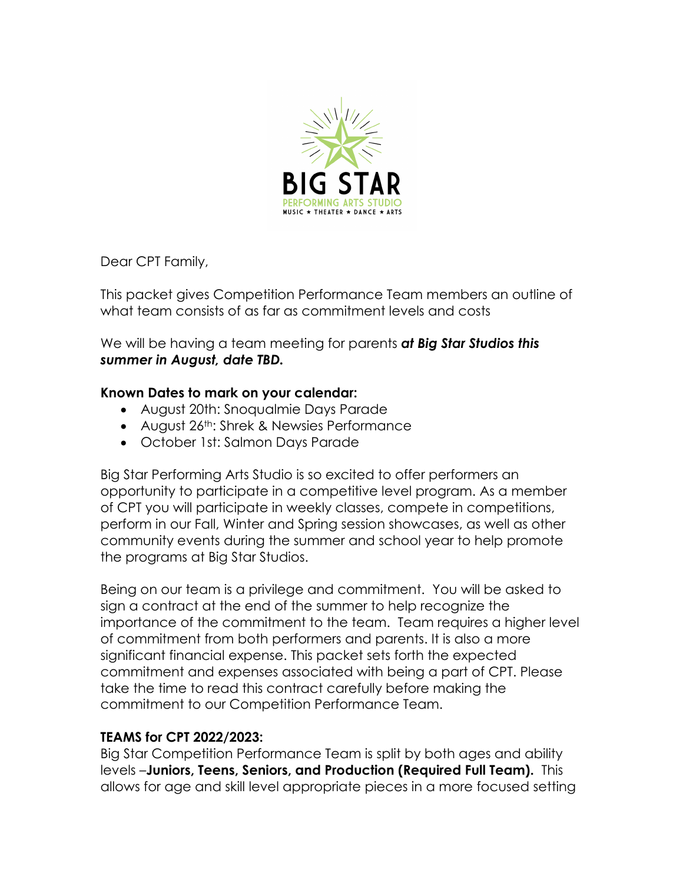

Dear CPT Family,

This packet gives Competition Performance Team members an outline of what team consists of as far as commitment levels and costs

We will be having a team meeting for parents *at Big Star Studios this summer in August, date TBD.*

# **Known Dates to mark on your calendar:**

- August 20th: Snoqualmie Days Parade
- August 26<sup>th</sup>: Shrek & Newsies Performance
- October 1st: Salmon Days Parade

Big Star Performing Arts Studio is so excited to offer performers an opportunity to participate in a competitive level program. As a member of CPT you will participate in weekly classes, compete in competitions, perform in our Fall, Winter and Spring session showcases, as well as other community events during the summer and school year to help promote the programs at Big Star Studios.

Being on our team is a privilege and commitment. You will be asked to sign a contract at the end of the summer to help recognize the importance of the commitment to the team. Team requires a higher level of commitment from both performers and parents. It is also a more significant financial expense. This packet sets forth the expected commitment and expenses associated with being a part of CPT. Please take the time to read this contract carefully before making the commitment to our Competition Performance Team.

# **TEAMS for CPT 2022/2023:**

Big Star Competition Performance Team is split by both ages and ability levels –**Juniors, Teens, Seniors, and Production (Required Full Team).** This allows for age and skill level appropriate pieces in a more focused setting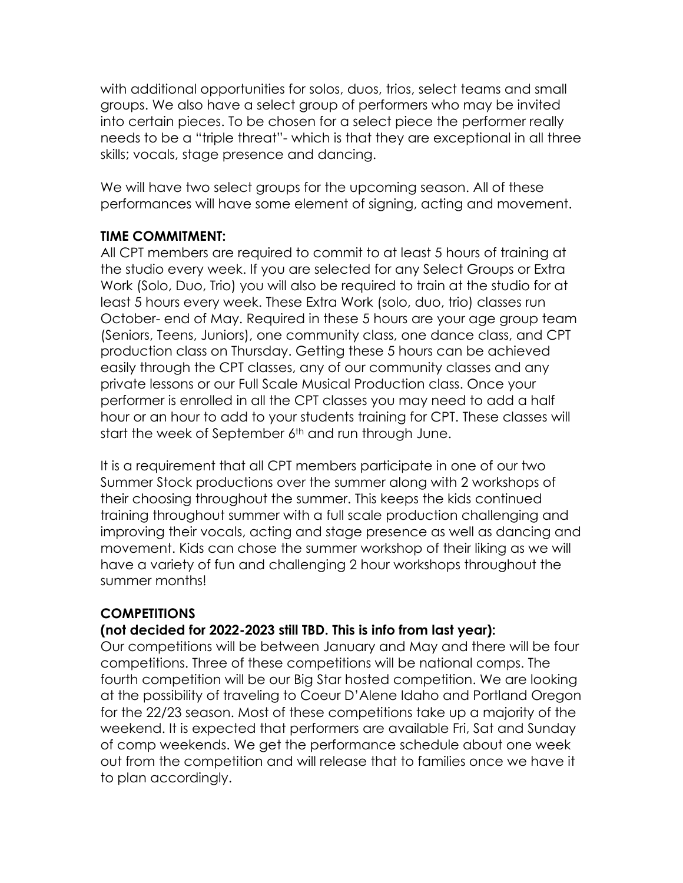with additional opportunities for solos, duos, trios, select teams and small groups. We also have a select group of performers who may be invited into certain pieces. To be chosen for a select piece the performer really needs to be a "triple threat"- which is that they are exceptional in all three skills; vocals, stage presence and dancing.

We will have two select groups for the upcoming season. All of these performances will have some element of signing, acting and movement.

### **TIME COMMITMENT:**

All CPT members are required to commit to at least 5 hours of training at the studio every week. If you are selected for any Select Groups or Extra Work (Solo, Duo, Trio) you will also be required to train at the studio for at least 5 hours every week. These Extra Work (solo, duo, trio) classes run October- end of May. Required in these 5 hours are your age group team (Seniors, Teens, Juniors), one community class, one dance class, and CPT production class on Thursday. Getting these 5 hours can be achieved easily through the CPT classes, any of our community classes and any private lessons or our Full Scale Musical Production class. Once your performer is enrolled in all the CPT classes you may need to add a half hour or an hour to add to your students training for CPT. These classes will start the week of September  $6<sup>th</sup>$  and run through June.

It is a requirement that all CPT members participate in one of our two Summer Stock productions over the summer along with 2 workshops of their choosing throughout the summer. This keeps the kids continued training throughout summer with a full scale production challenging and improving their vocals, acting and stage presence as well as dancing and movement. Kids can chose the summer workshop of their liking as we will have a variety of fun and challenging 2 hour workshops throughout the summer months!

# **COMPETITIONS**

# **(not decided for 2022-2023 still TBD. This is info from last year):**

Our competitions will be between January and May and there will be four competitions. Three of these competitions will be national comps. The fourth competition will be our Big Star hosted competition. We are looking at the possibility of traveling to Coeur D'Alene Idaho and Portland Oregon for the 22/23 season. Most of these competitions take up a majority of the weekend. It is expected that performers are available Fri, Sat and Sunday of comp weekends. We get the performance schedule about one week out from the competition and will release that to families once we have it to plan accordingly.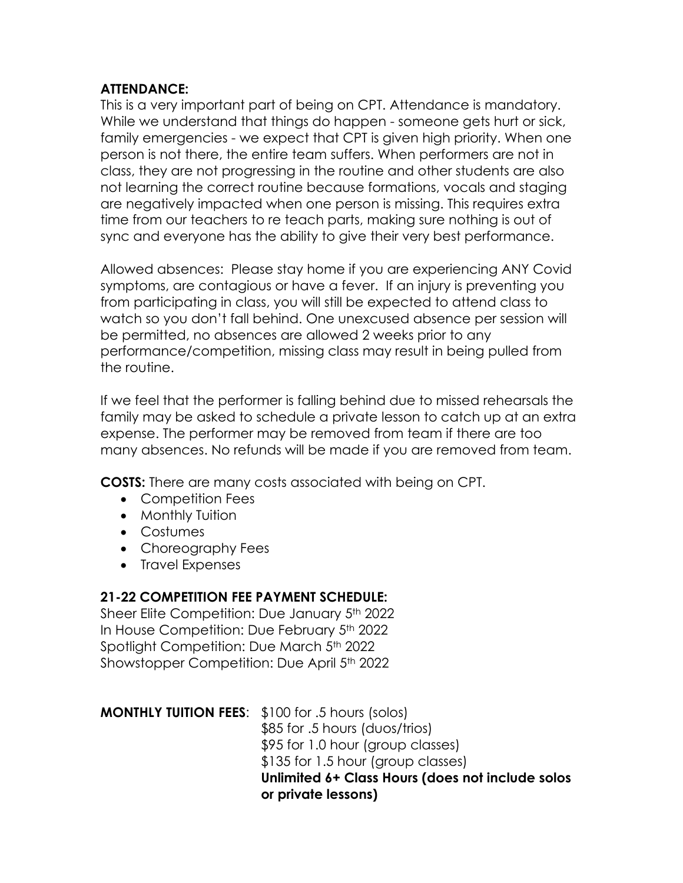### **ATTENDANCE:**

This is a very important part of being on CPT. Attendance is mandatory. While we understand that things do happen - someone gets hurt or sick, family emergencies - we expect that CPT is given high priority. When one person is not there, the entire team suffers. When performers are not in class, they are not progressing in the routine and other students are also not learning the correct routine because formations, vocals and staging are negatively impacted when one person is missing. This requires extra time from our teachers to re teach parts, making sure nothing is out of sync and everyone has the ability to give their very best performance.

Allowed absences: Please stay home if you are experiencing ANY Covid symptoms, are contagious or have a fever. If an injury is preventing you from participating in class, you will still be expected to attend class to watch so you don't fall behind. One unexcused absence per session will be permitted, no absences are allowed 2 weeks prior to any performance/competition, missing class may result in being pulled from the routine.

If we feel that the performer is falling behind due to missed rehearsals the family may be asked to schedule a private lesson to catch up at an extra expense. The performer may be removed from team if there are too many absences. No refunds will be made if you are removed from team.

**COSTS:** There are many costs associated with being on CPT.

- Competition Fees
- Monthly Tuition
- Costumes
- Choreography Fees
- Travel Expenses

# **21-22 COMPETITION FEE PAYMENT SCHEDULE:**

Sheer Elite Competition: Due January 5<sup>th</sup> 2022 In House Competition: Due February 5<sup>th</sup> 2022 Spotlight Competition: Due March 5<sup>th</sup> 2022 Showstopper Competition: Due April 5<sup>th</sup> 2022

**MONTHLY TUITION FEES**: \$100 for .5 hours (solos) \$85 for .5 hours (duos/trios) \$95 for 1.0 hour (group classes) \$135 for 1.5 hour (group classes) **Unlimited 6+ Class Hours (does not include solos or private lessons)**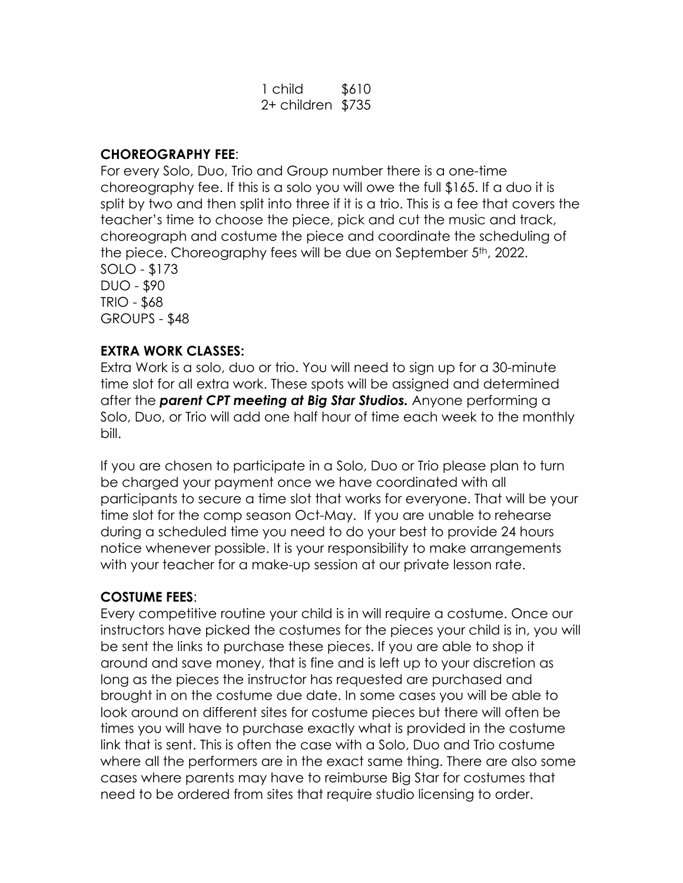| 1 child           | \$610 |
|-------------------|-------|
| 2+ children \$735 |       |

#### **CHOREOGRAPHY FEE**:

For every Solo, Duo, Trio and Group number there is a one-time choreography fee. If this is a solo you will owe the full \$165. If a duo it is split by two and then split into three if it is a trio. This is a fee that covers the teacher's time to choose the piece, pick and cut the music and track, choreograph and costume the piece and coordinate the scheduling of the piece. Choreography fees will be due on September 5th, 2022. SOLO - \$173 DUO - \$90 TRIO - \$68 GROUPS - \$48

### **EXTRA WORK CLASSES:**

Extra Work is a solo, duo or trio. You will need to sign up for a 30-minute time slot for all extra work. These spots will be assigned and determined after the *parent CPT meeting at Big Star Studios.* Anyone performing a Solo, Duo, or Trio will add one half hour of time each week to the monthly bill.

If you are chosen to participate in a Solo, Duo or Trio please plan to turn be charged your payment once we have coordinated with all participants to secure a time slot that works for everyone. That will be your time slot for the comp season Oct-May. If you are unable to rehearse during a scheduled time you need to do your best to provide 24 hours notice whenever possible. It is your responsibility to make arrangements with your teacher for a make-up session at our private lesson rate.

### **COSTUME FEES**:

Every competitive routine your child is in will require a costume. Once our instructors have picked the costumes for the pieces your child is in, you will be sent the links to purchase these pieces. If you are able to shop it around and save money, that is fine and is left up to your discretion as long as the pieces the instructor has requested are purchased and brought in on the costume due date. In some cases you will be able to look around on different sites for costume pieces but there will often be times you will have to purchase exactly what is provided in the costume link that is sent. This is often the case with a Solo, Duo and Trio costume where all the performers are in the exact same thing. There are also some cases where parents may have to reimburse Big Star for costumes that need to be ordered from sites that require studio licensing to order.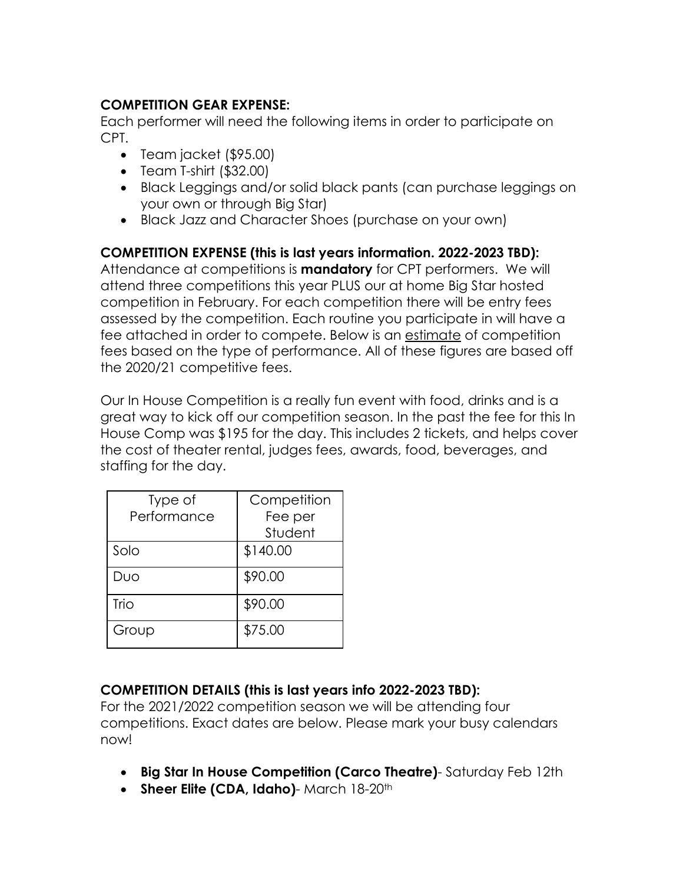# **COMPETITION GEAR EXPENSE:**

Each performer will need the following items in order to participate on CPT.

- Team jacket (\$95.00)
- Team T-shirt (\$32.00)
- Black Leggings and/or solid black pants (can purchase leggings on your own or through Big Star)
- Black Jazz and Character Shoes (purchase on your own)

# **COMPETITION EXPENSE (this is last years information. 2022-2023 TBD):**

Attendance at competitions is **mandatory** for CPT performers. We will attend three competitions this year PLUS our at home Big Star hosted competition in February. For each competition there will be entry fees assessed by the competition. Each routine you participate in will have a fee attached in order to compete. Below is an estimate of competition fees based on the type of performance. All of these figures are based off the 2020/21 competitive fees.

Our In House Competition is a really fun event with food, drinks and is a great way to kick off our competition season. In the past the fee for this In House Comp was \$195 for the day. This includes 2 tickets, and helps cover the cost of theater rental, judges fees, awards, food, beverages, and staffing for the day.

| Type of<br>Performance | Competition<br>Fee per<br>Student |
|------------------------|-----------------------------------|
| Solo                   | \$140.00                          |
| Duo                    | \$90.00                           |
| Trio                   | \$90.00                           |
| Group                  | \$75.00                           |

# **COMPETITION DETAILS (this is last years info 2022-2023 TBD):**

For the 2021/2022 competition season we will be attending four competitions. Exact dates are below. Please mark your busy calendars now!

- **Big Star In House Competition (Carco Theatre)** Saturday Feb 12th
- Sheer Elite (CDA, Idaho)- March 18-20<sup>th</sup>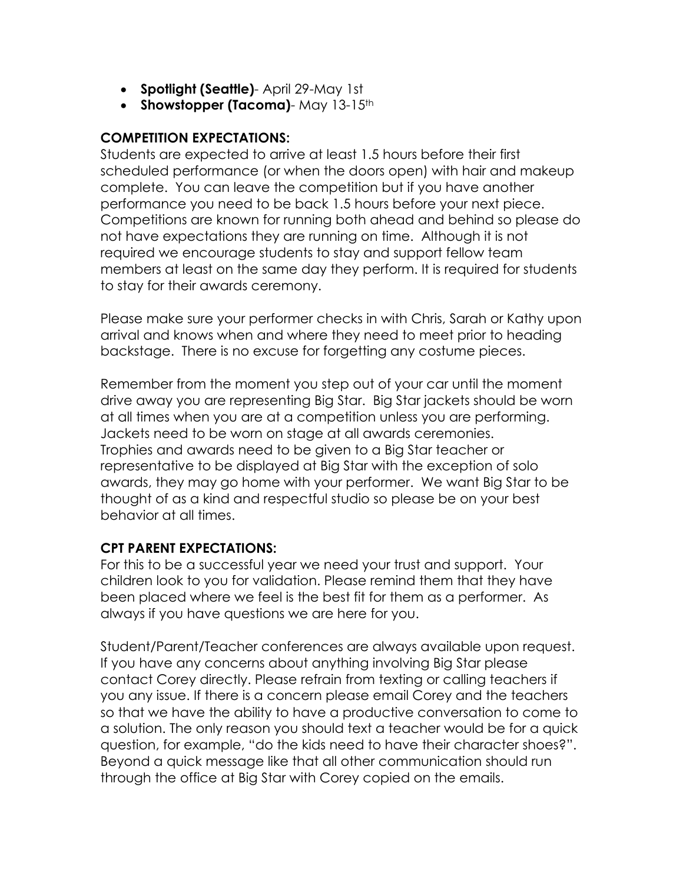- **Spotlight (Seattle)** April 29-May 1st
- **Showstopper (Tacoma)** May 13-15th

#### **COMPETITION EXPECTATIONS:**

Students are expected to arrive at least 1.5 hours before their first scheduled performance (or when the doors open) with hair and makeup complete. You can leave the competition but if you have another performance you need to be back 1.5 hours before your next piece. Competitions are known for running both ahead and behind so please do not have expectations they are running on time. Although it is not required we encourage students to stay and support fellow team members at least on the same day they perform. It is required for students to stay for their awards ceremony.

Please make sure your performer checks in with Chris, Sarah or Kathy upon arrival and knows when and where they need to meet prior to heading backstage. There is no excuse for forgetting any costume pieces.

Remember from the moment you step out of your car until the moment drive away you are representing Big Star. Big Star jackets should be worn at all times when you are at a competition unless you are performing. Jackets need to be worn on stage at all awards ceremonies. Trophies and awards need to be given to a Big Star teacher or representative to be displayed at Big Star with the exception of solo awards, they may go home with your performer. We want Big Star to be thought of as a kind and respectful studio so please be on your best behavior at all times.

### **CPT PARENT EXPECTATIONS:**

For this to be a successful year we need your trust and support. Your children look to you for validation. Please remind them that they have been placed where we feel is the best fit for them as a performer. As always if you have questions we are here for you.

Student/Parent/Teacher conferences are always available upon request. If you have any concerns about anything involving Big Star please contact Corey directly. Please refrain from texting or calling teachers if you any issue. If there is a concern please email Corey and the teachers so that we have the ability to have a productive conversation to come to a solution. The only reason you should text a teacher would be for a quick question, for example, "do the kids need to have their character shoes?". Beyond a quick message like that all other communication should run through the office at Big Star with Corey copied on the emails.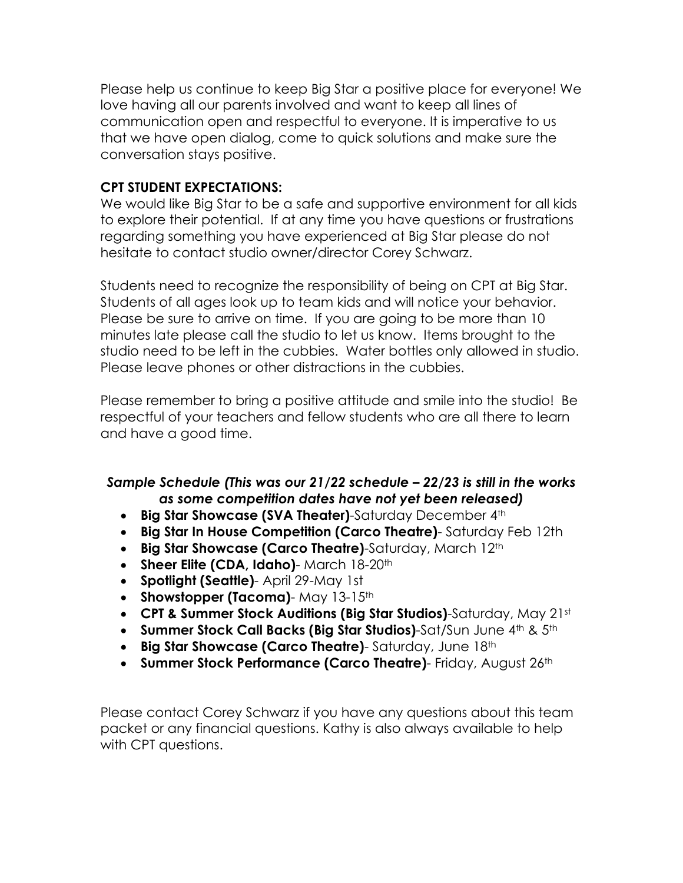Please help us continue to keep Big Star a positive place for everyone! We love having all our parents involved and want to keep all lines of communication open and respectful to everyone. It is imperative to us that we have open dialog, come to quick solutions and make sure the conversation stays positive.

### **CPT STUDENT EXPECTATIONS:**

We would like Big Star to be a safe and supportive environment for all kids to explore their potential. If at any time you have questions or frustrations regarding something you have experienced at Big Star please do not hesitate to contact studio owner/director Corey Schwarz.

Students need to recognize the responsibility of being on CPT at Big Star. Students of all ages look up to team kids and will notice your behavior. Please be sure to arrive on time. If you are going to be more than 10 minutes late please call the studio to let us know. Items brought to the studio need to be left in the cubbies. Water bottles only allowed in studio. Please leave phones or other distractions in the cubbies.

Please remember to bring a positive attitude and smile into the studio! Be respectful of your teachers and fellow students who are all there to learn and have a good time.

# *Sample Schedule (This was our 21/22 schedule – 22/23 is still in the works as some competition dates have not yet been released)*

- **Big Star Showcase (SVA Theater)**-Saturday December 4th
- **Big Star In House Competition (Carco Theatre)** Saturday Feb 12th
- **Big Star Showcase (Carco Theatre)**-Saturday, March 12th
- **Sheer Elite (CDA, Idaho)** March 18-20<sup>th</sup>
- **Spotlight (Seattle)** April 29-May 1st
- **Showstopper (Tacoma)** May 13-15th
- **CPT & Summer Stock Auditions (Big Star Studios)**-Saturday, May 21st
- **Summer Stock Call Backs (Big Star Studios)**-Sat/Sun June 4th & 5th
- **Big Star Showcase (Carco Theatre)** Saturday, June 18th
- **Summer Stock Performance (Carco Theatre)** Friday, August 26th

Please contact Corey Schwarz if you have any questions about this team packet or any financial questions. Kathy is also always available to help with CPT questions.